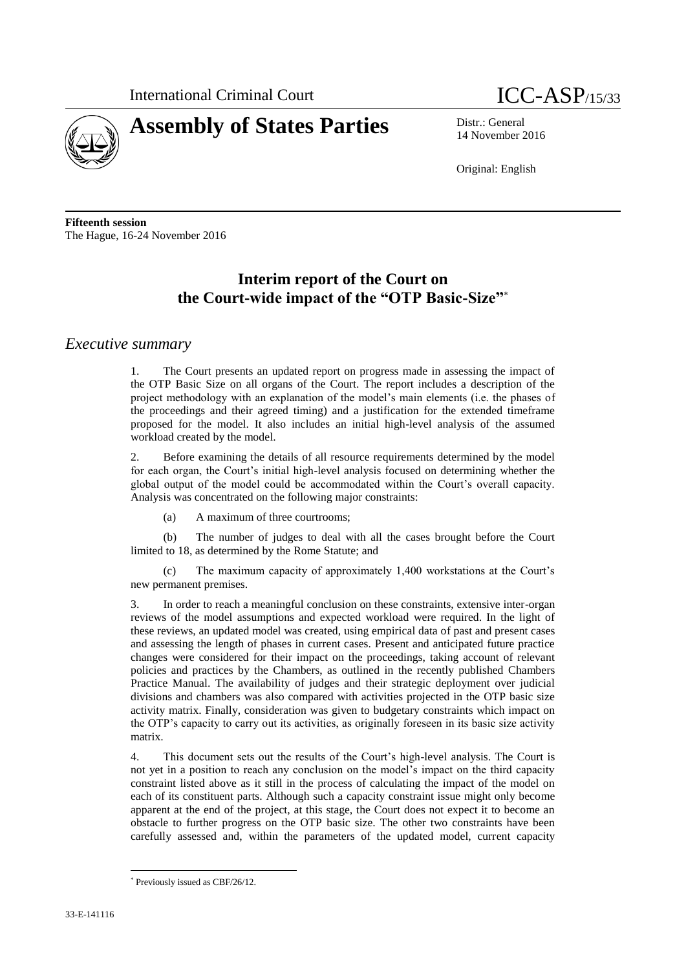



14 November 2016

Original: English

**Fifteenth session** The Hague, 16-24 November 2016

## **Interim report of the Court on the Court-wide impact of the "OTP Basic-Size"**

## *Executive summary*

1. The Court presents an updated report on progress made in assessing the impact of the OTP Basic Size on all organs of the Court. The report includes a description of the project methodology with an explanation of the model's main elements (i.e. the phases of the proceedings and their agreed timing) and a justification for the extended timeframe proposed for the model. It also includes an initial high-level analysis of the assumed workload created by the model.

2. Before examining the details of all resource requirements determined by the model for each organ, the Court's initial high-level analysis focused on determining whether the global output of the model could be accommodated within the Court's overall capacity. Analysis was concentrated on the following major constraints:

(a) A maximum of three courtrooms;

(b) The number of judges to deal with all the cases brought before the Court limited to 18, as determined by the Rome Statute; and

(c) The maximum capacity of approximately 1,400 workstations at the Court's new permanent premises.

3. In order to reach a meaningful conclusion on these constraints, extensive inter-organ reviews of the model assumptions and expected workload were required. In the light of these reviews, an updated model was created, using empirical data of past and present cases and assessing the length of phases in current cases. Present and anticipated future practice changes were considered for their impact on the proceedings, taking account of relevant policies and practices by the Chambers, as outlined in the recently published Chambers Practice Manual. The availability of judges and their strategic deployment over judicial divisions and chambers was also compared with activities projected in the OTP basic size activity matrix. Finally, consideration was given to budgetary constraints which impact on the OTP's capacity to carry out its activities, as originally foreseen in its basic size activity matrix.

4. This document sets out the results of the Court's high-level analysis. The Court is not yet in a position to reach any conclusion on the model's impact on the third capacity constraint listed above as it still in the process of calculating the impact of the model on each of its constituent parts. Although such a capacity constraint issue might only become apparent at the end of the project, at this stage, the Court does not expect it to become an obstacle to further progress on the OTP basic size. The other two constraints have been carefully assessed and, within the parameters of the updated model, current capacity

Previously issued as CBF/26/12.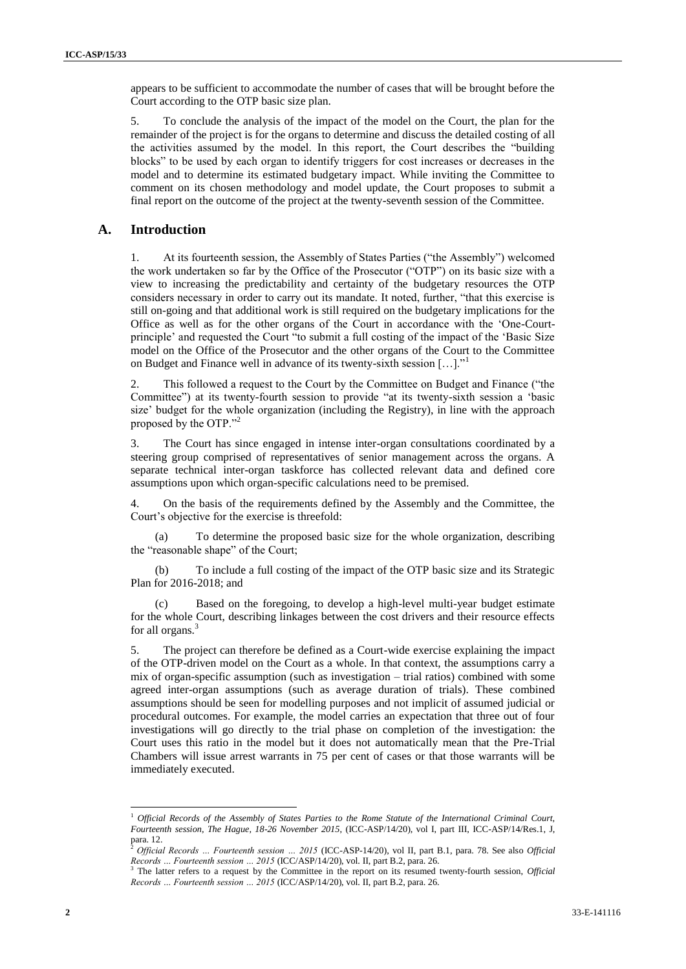appears to be sufficient to accommodate the number of cases that will be brought before the Court according to the OTP basic size plan.

5. To conclude the analysis of the impact of the model on the Court, the plan for the remainder of the project is for the organs to determine and discuss the detailed costing of all the activities assumed by the model. In this report, the Court describes the "building blocks" to be used by each organ to identify triggers for cost increases or decreases in the model and to determine its estimated budgetary impact. While inviting the Committee to comment on its chosen methodology and model update, the Court proposes to submit a final report on the outcome of the project at the twenty-seventh session of the Committee.

#### **A. Introduction**

1. At its fourteenth session, the Assembly of States Parties ("the Assembly") welcomed the work undertaken so far by the Office of the Prosecutor ("OTP") on its basic size with a view to increasing the predictability and certainty of the budgetary resources the OTP considers necessary in order to carry out its mandate. It noted, further, "that this exercise is still on-going and that additional work is still required on the budgetary implications for the Office as well as for the other organs of the Court in accordance with the 'One-Courtprinciple' and requested the Court "to submit a full costing of the impact of the 'Basic Size model on the Office of the Prosecutor and the other organs of the Court to the Committee on Budget and Finance well in advance of its twenty-sixth session […]."<sup>1</sup>

2. This followed a request to the Court by the Committee on Budget and Finance ("the Committee") at its twenty-fourth session to provide "at its twenty-sixth session a 'basic size' budget for the whole organization (including the Registry), in line with the approach proposed by the OTP."<sup>2</sup>

3. The Court has since engaged in intense inter-organ consultations coordinated by a steering group comprised of representatives of senior management across the organs. A separate technical inter-organ taskforce has collected relevant data and defined core assumptions upon which organ-specific calculations need to be premised.

4. On the basis of the requirements defined by the Assembly and the Committee, the Court's objective for the exercise is threefold:

(a) To determine the proposed basic size for the whole organization, describing the "reasonable shape" of the Court;

(b) To include a full costing of the impact of the OTP basic size and its Strategic Plan for 2016-2018; and

(c) Based on the foregoing, to develop a high-level multi-year budget estimate for the whole Court, describing linkages between the cost drivers and their resource effects for all organs.<sup>3</sup>

5. The project can therefore be defined as a Court-wide exercise explaining the impact of the OTP-driven model on the Court as a whole. In that context, the assumptions carry a mix of organ-specific assumption (such as investigation – trial ratios) combined with some agreed inter-organ assumptions (such as average duration of trials). These combined assumptions should be seen for modelling purposes and not implicit of assumed judicial or procedural outcomes. For example, the model carries an expectation that three out of four investigations will go directly to the trial phase on completion of the investigation: the Court uses this ratio in the model but it does not automatically mean that the Pre-Trial Chambers will issue arrest warrants in 75 per cent of cases or that those warrants will be immediately executed.

<sup>1</sup> *Official Records of the Assembly of States Parties to the Rome Statute of the International Criminal Court, Fourteenth session, The Hague, 18-26 November 2015*, (ICC-ASP/14/20), vol I, part III, ICC-ASP/14/Res.1, J, para. 12.

<sup>2</sup> *Official Records … Fourteenth session … 2015* (ICC-ASP-14/20), vol II, part B.1, para. 78. See also *Official Records … Fourteenth session … 2015* (ICC/ASP/14/20), vol. II, part B.2, para. 26.

<sup>&</sup>lt;sup>3</sup> The latter refers to a request by the Committee in the report on its resumed twenty-fourth session, *Official Records … Fourteenth session … 2015* (ICC/ASP/14/20), vol. II, part B.2, para. 26.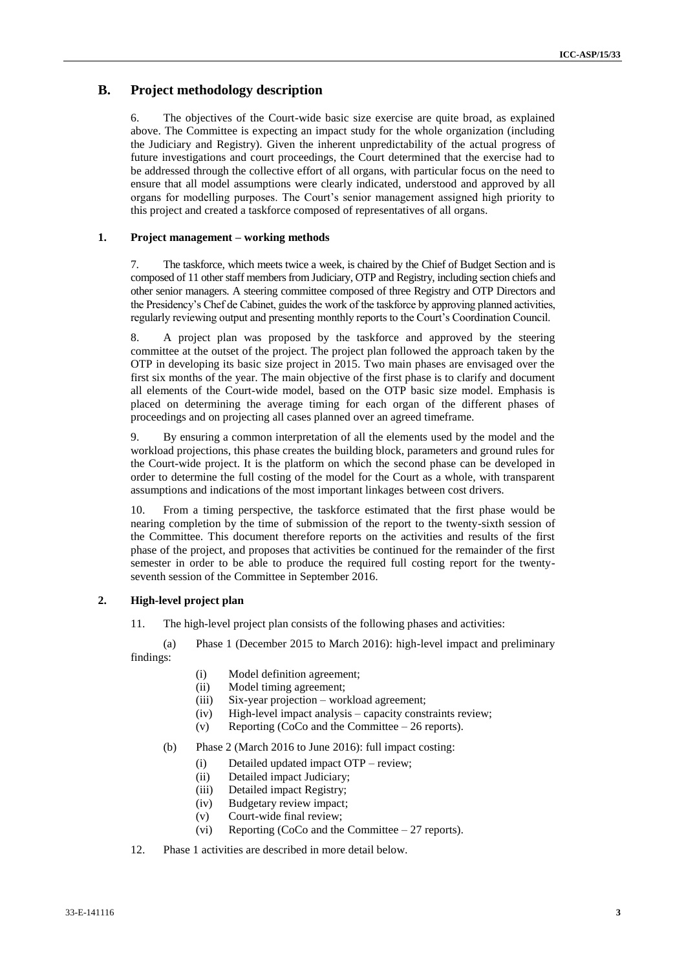### **B. Project methodology description**

6. The objectives of the Court-wide basic size exercise are quite broad, as explained above. The Committee is expecting an impact study for the whole organization (including the Judiciary and Registry). Given the inherent unpredictability of the actual progress of future investigations and court proceedings, the Court determined that the exercise had to be addressed through the collective effort of all organs, with particular focus on the need to ensure that all model assumptions were clearly indicated, understood and approved by all organs for modelling purposes. The Court's senior management assigned high priority to this project and created a taskforce composed of representatives of all organs.

#### **1. Project management – working methods**

7. The taskforce, which meets twice a week, is chaired by the Chief of Budget Section and is composed of 11 other staff members from Judiciary, OTP and Registry, including section chiefs and other senior managers. A steering committee composed of three Registry and OTP Directors and the Presidency's Chef de Cabinet, guides the work of the taskforce by approving planned activities, regularly reviewing output and presenting monthly reports to the Court's Coordination Council.

8. A project plan was proposed by the taskforce and approved by the steering committee at the outset of the project. The project plan followed the approach taken by the OTP in developing its basic size project in 2015. Two main phases are envisaged over the first six months of the year. The main objective of the first phase is to clarify and document all elements of the Court-wide model, based on the OTP basic size model. Emphasis is placed on determining the average timing for each organ of the different phases of proceedings and on projecting all cases planned over an agreed timeframe.

9. By ensuring a common interpretation of all the elements used by the model and the workload projections, this phase creates the building block, parameters and ground rules for the Court-wide project. It is the platform on which the second phase can be developed in order to determine the full costing of the model for the Court as a whole, with transparent assumptions and indications of the most important linkages between cost drivers.

10. From a timing perspective, the taskforce estimated that the first phase would be nearing completion by the time of submission of the report to the twenty-sixth session of the Committee. This document therefore reports on the activities and results of the first phase of the project, and proposes that activities be continued for the remainder of the first semester in order to be able to produce the required full costing report for the twentyseventh session of the Committee in September 2016.

#### **2. High-level project plan**

11. The high-level project plan consists of the following phases and activities:

(a) Phase 1 (December 2015 to March 2016): high-level impact and preliminary findings:

- (i) Model definition agreement;
- (ii) Model timing agreement;
- (iii) Six-year projection workload agreement;
- (iv) High-level impact analysis capacity constraints review;
- (v) Reporting (CoCo and the Committee 26 reports).
- (b) Phase 2 (March 2016 to June 2016): full impact costing:
	- (i) Detailed updated impact OTP review;
	- (ii) Detailed impact Judiciary;
	- (iii) Detailed impact Registry;
	- (iv) Budgetary review impact;
	- (v) Court-wide final review;
	- (vi) Reporting (CoCo and the Committee 27 reports).
- 12. Phase 1 activities are described in more detail below.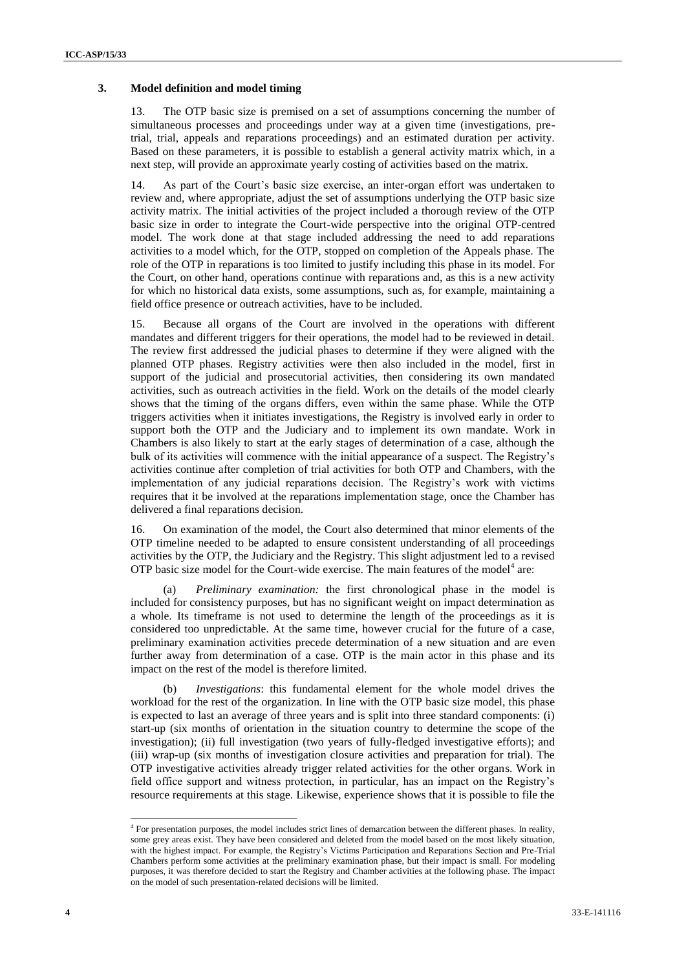#### **3. Model definition and model timing**

13. The OTP basic size is premised on a set of assumptions concerning the number of simultaneous processes and proceedings under way at a given time (investigations, pretrial, trial, appeals and reparations proceedings) and an estimated duration per activity. Based on these parameters, it is possible to establish a general activity matrix which, in a next step, will provide an approximate yearly costing of activities based on the matrix.

14. As part of the Court's basic size exercise, an inter-organ effort was undertaken to review and, where appropriate, adjust the set of assumptions underlying the OTP basic size activity matrix. The initial activities of the project included a thorough review of the OTP basic size in order to integrate the Court-wide perspective into the original OTP-centred model. The work done at that stage included addressing the need to add reparations activities to a model which, for the OTP, stopped on completion of the Appeals phase. The role of the OTP in reparations is too limited to justify including this phase in its model. For the Court, on other hand, operations continue with reparations and, as this is a new activity for which no historical data exists, some assumptions, such as, for example, maintaining a field office presence or outreach activities, have to be included.

15. Because all organs of the Court are involved in the operations with different mandates and different triggers for their operations, the model had to be reviewed in detail. The review first addressed the judicial phases to determine if they were aligned with the planned OTP phases. Registry activities were then also included in the model, first in support of the judicial and prosecutorial activities, then considering its own mandated activities, such as outreach activities in the field. Work on the details of the model clearly shows that the timing of the organs differs, even within the same phase. While the OTP triggers activities when it initiates investigations, the Registry is involved early in order to support both the OTP and the Judiciary and to implement its own mandate. Work in Chambers is also likely to start at the early stages of determination of a case, although the bulk of its activities will commence with the initial appearance of a suspect. The Registry's activities continue after completion of trial activities for both OTP and Chambers, with the implementation of any judicial reparations decision. The Registry's work with victims requires that it be involved at the reparations implementation stage, once the Chamber has delivered a final reparations decision.

16. On examination of the model, the Court also determined that minor elements of the OTP timeline needed to be adapted to ensure consistent understanding of all proceedings activities by the OTP, the Judiciary and the Registry. This slight adjustment led to a revised OTP basic size model for the Court-wide exercise. The main features of the model<sup>4</sup> are:

(a) *Preliminary examination:* the first chronological phase in the model is included for consistency purposes, but has no significant weight on impact determination as a whole. Its timeframe is not used to determine the length of the proceedings as it is considered too unpredictable. At the same time, however crucial for the future of a case, preliminary examination activities precede determination of a new situation and are even further away from determination of a case. OTP is the main actor in this phase and its impact on the rest of the model is therefore limited.

(b) *Investigations*: this fundamental element for the whole model drives the workload for the rest of the organization. In line with the OTP basic size model, this phase is expected to last an average of three years and is split into three standard components: (i) start-up (six months of orientation in the situation country to determine the scope of the investigation); (ii) full investigation (two years of fully-fledged investigative efforts); and (iii) wrap-up (six months of investigation closure activities and preparation for trial). The OTP investigative activities already trigger related activities for the other organs. Work in field office support and witness protection, in particular, has an impact on the Registry's resource requirements at this stage. Likewise, experience shows that it is possible to file the

 4 For presentation purposes, the model includes strict lines of demarcation between the different phases. In reality, some grey areas exist. They have been considered and deleted from the model based on the most likely situation, with the highest impact. For example, the Registry's Victims Participation and Reparations Section and Pre-Trial Chambers perform some activities at the preliminary examination phase, but their impact is small. For modeling purposes, it was therefore decided to start the Registry and Chamber activities at the following phase. The impact on the model of such presentation-related decisions will be limited.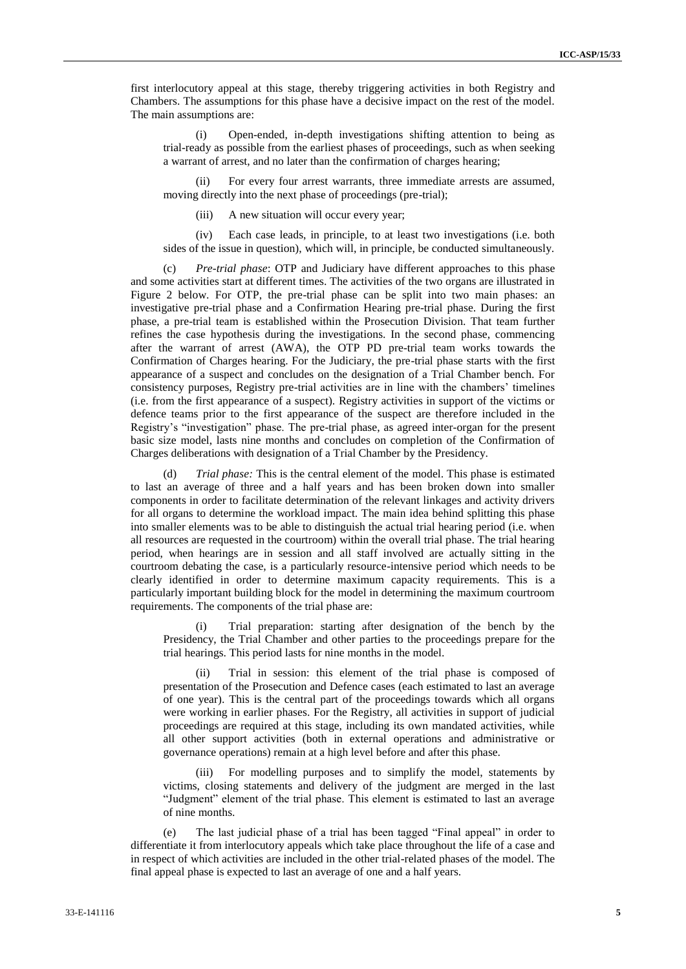first interlocutory appeal at this stage, thereby triggering activities in both Registry and Chambers. The assumptions for this phase have a decisive impact on the rest of the model. The main assumptions are:

(i) Open-ended, in-depth investigations shifting attention to being as trial-ready as possible from the earliest phases of proceedings, such as when seeking a warrant of arrest, and no later than the confirmation of charges hearing;

(ii) For every four arrest warrants, three immediate arrests are assumed, moving directly into the next phase of proceedings (pre-trial);

(iii) A new situation will occur every year;

(iv) Each case leads, in principle, to at least two investigations (i.e. both sides of the issue in question), which will, in principle, be conducted simultaneously.

(c) *Pre-trial phase*: OTP and Judiciary have different approaches to this phase and some activities start at different times. The activities of the two organs are illustrated in Figure 2 below. For OTP, the pre-trial phase can be split into two main phases: an investigative pre-trial phase and a Confirmation Hearing pre-trial phase. During the first phase, a pre-trial team is established within the Prosecution Division. That team further refines the case hypothesis during the investigations. In the second phase, commencing after the warrant of arrest (AWA), the OTP PD pre-trial team works towards the Confirmation of Charges hearing. For the Judiciary, the pre-trial phase starts with the first appearance of a suspect and concludes on the designation of a Trial Chamber bench. For consistency purposes, Registry pre-trial activities are in line with the chambers' timelines (i.e. from the first appearance of a suspect). Registry activities in support of the victims or defence teams prior to the first appearance of the suspect are therefore included in the Registry's "investigation" phase. The pre-trial phase, as agreed inter-organ for the present basic size model, lasts nine months and concludes on completion of the Confirmation of Charges deliberations with designation of a Trial Chamber by the Presidency.

(d) *Trial phase:* This is the central element of the model. This phase is estimated to last an average of three and a half years and has been broken down into smaller components in order to facilitate determination of the relevant linkages and activity drivers for all organs to determine the workload impact. The main idea behind splitting this phase into smaller elements was to be able to distinguish the actual trial hearing period (i.e. when all resources are requested in the courtroom) within the overall trial phase. The trial hearing period, when hearings are in session and all staff involved are actually sitting in the courtroom debating the case, is a particularly resource-intensive period which needs to be clearly identified in order to determine maximum capacity requirements. This is a particularly important building block for the model in determining the maximum courtroom requirements. The components of the trial phase are:

(i) Trial preparation: starting after designation of the bench by the Presidency, the Trial Chamber and other parties to the proceedings prepare for the trial hearings. This period lasts for nine months in the model.

(ii) Trial in session: this element of the trial phase is composed of presentation of the Prosecution and Defence cases (each estimated to last an average of one year). This is the central part of the proceedings towards which all organs were working in earlier phases. For the Registry, all activities in support of judicial proceedings are required at this stage, including its own mandated activities, while all other support activities (both in external operations and administrative or governance operations) remain at a high level before and after this phase.

(iii) For modelling purposes and to simplify the model, statements by victims, closing statements and delivery of the judgment are merged in the last "Judgment" element of the trial phase. This element is estimated to last an average of nine months.

(e) The last judicial phase of a trial has been tagged "Final appeal" in order to differentiate it from interlocutory appeals which take place throughout the life of a case and in respect of which activities are included in the other trial-related phases of the model. The final appeal phase is expected to last an average of one and a half years.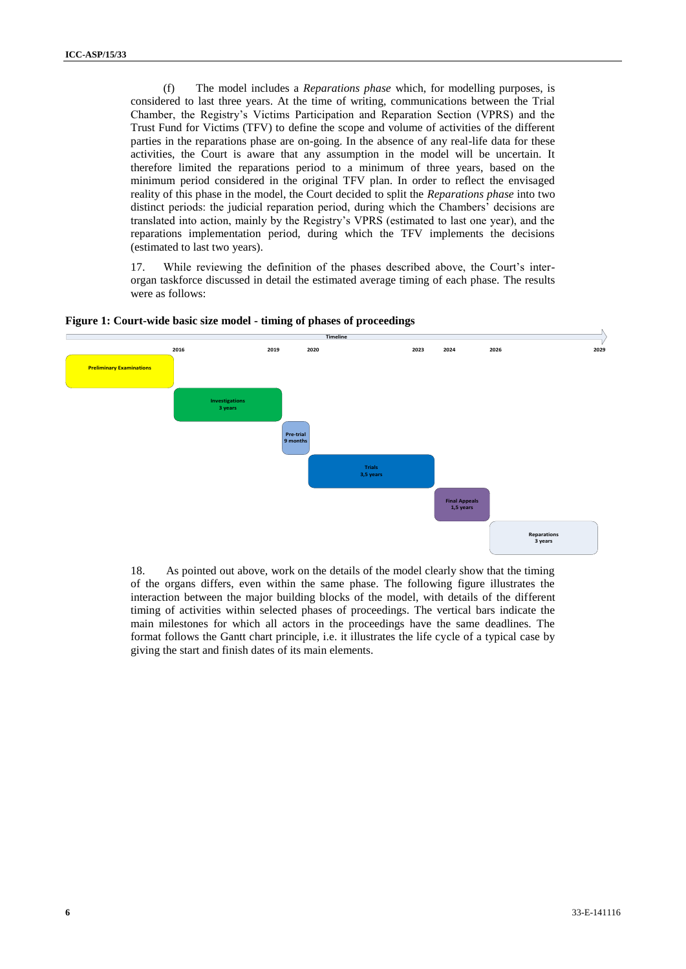(f) The model includes a *Reparations phase* which, for modelling purposes, is considered to last three years. At the time of writing, communications between the Trial Chamber, the Registry's Victims Participation and Reparation Section (VPRS) and the Trust Fund for Victims (TFV) to define the scope and volume of activities of the different parties in the reparations phase are on-going. In the absence of any real-life data for these activities, the Court is aware that any assumption in the model will be uncertain. It therefore limited the reparations period to a minimum of three years, based on the minimum period considered in the original TFV plan. In order to reflect the envisaged reality of this phase in the model, the Court decided to split the *Reparations phase* into two distinct periods: the judicial reparation period, during which the Chambers' decisions are translated into action, mainly by the Registry's VPRS (estimated to last one year), and the reparations implementation period, during which the TFV implements the decisions (estimated to last two years).

17. While reviewing the definition of the phases described above, the Court's interorgan taskforce discussed in detail the estimated average timing of each phase. The results were as follows:



**Figure 1: Court-wide basic size model - timing of phases of proceedings**

18. As pointed out above, work on the details of the model clearly show that the timing of the organs differs, even within the same phase. The following figure illustrates the interaction between the major building blocks of the model, with details of the different timing of activities within selected phases of proceedings. The vertical bars indicate the main milestones for which all actors in the proceedings have the same deadlines. The format follows the Gantt chart principle, i.e. it illustrates the life cycle of a typical case by giving the start and finish dates of its main elements.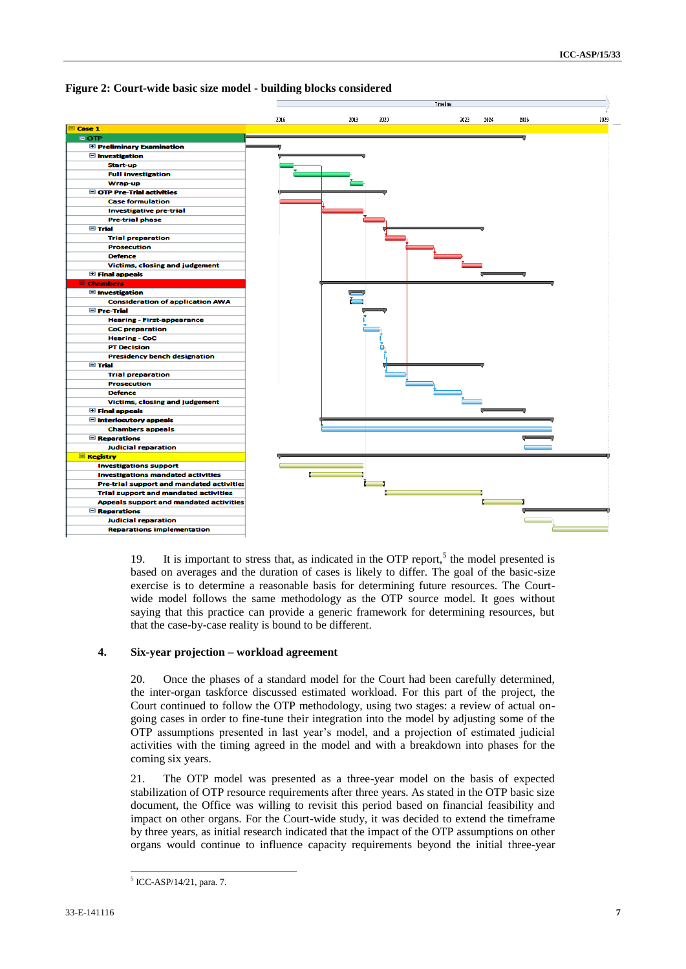



19. It is important to stress that, as indicated in the OTP report,<sup>5</sup> the model presented is based on averages and the duration of cases is likely to differ. The goal of the basic-size exercise is to determine a reasonable basis for determining future resources. The Courtwide model follows the same methodology as the OTP source model. It goes without saying that this practice can provide a generic framework for determining resources, but that the case-by-case reality is bound to be different.

#### **4. Six-year projection – workload agreement**

20. Once the phases of a standard model for the Court had been carefully determined, the inter-organ taskforce discussed estimated workload. For this part of the project, the Court continued to follow the OTP methodology, using two stages: a review of actual ongoing cases in order to fine-tune their integration into the model by adjusting some of the OTP assumptions presented in last year's model, and a projection of estimated judicial activities with the timing agreed in the model and with a breakdown into phases for the coming six years.

21. The OTP model was presented as a three-year model on the basis of expected stabilization of OTP resource requirements after three years. As stated in the OTP basic size document, the Office was willing to revisit this period based on financial feasibility and impact on other organs. For the Court-wide study, it was decided to extend the timeframe by three years, as initial research indicated that the impact of the OTP assumptions on other organs would continue to influence capacity requirements beyond the initial three-year

<sup>1</sup> 5 ICC-ASP/14/21, para. 7.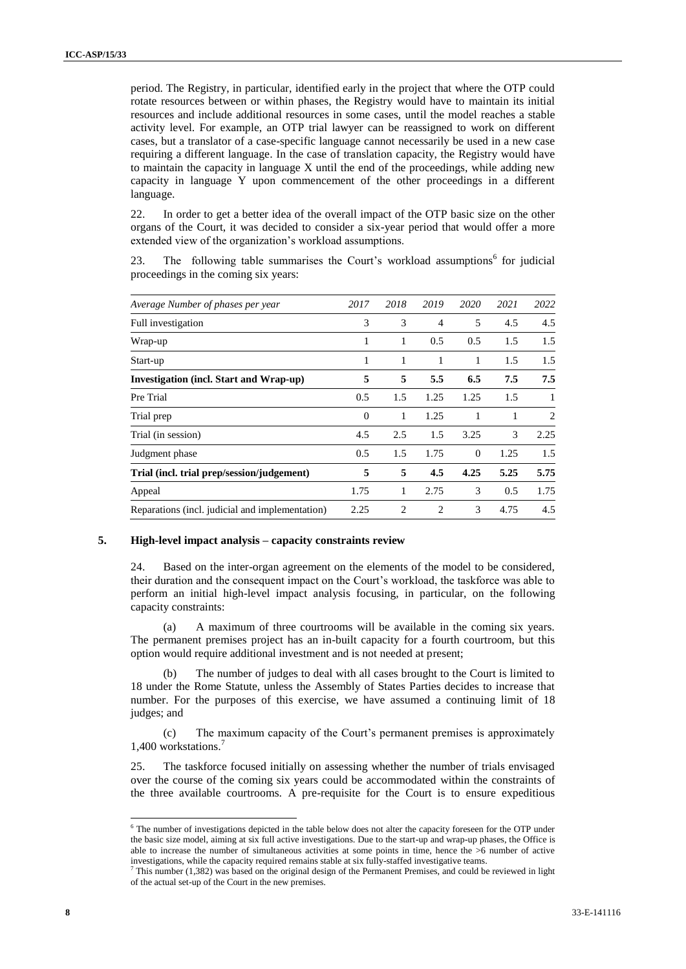period. The Registry, in particular, identified early in the project that where the OTP could rotate resources between or within phases, the Registry would have to maintain its initial resources and include additional resources in some cases, until the model reaches a stable activity level. For example, an OTP trial lawyer can be reassigned to work on different cases, but a translator of a case-specific language cannot necessarily be used in a new case requiring a different language. In the case of translation capacity, the Registry would have to maintain the capacity in language X until the end of the proceedings, while adding new capacity in language Y upon commencement of the other proceedings in a different language.

22. In order to get a better idea of the overall impact of the OTP basic size on the other organs of the Court, it was decided to consider a six-year period that would offer a more extended view of the organization's workload assumptions.

23. The following table summarises the Court's workload assumptions<sup>6</sup> for judicial proceedings in the coming six years:

| Average Number of phases per year               | 2017     | 2018           | 2019           | 2020     | 2021 | 2022           |
|-------------------------------------------------|----------|----------------|----------------|----------|------|----------------|
| Full investigation                              | 3        | 3              | $\overline{4}$ | 5        | 4.5  | 4.5            |
| Wrap-up                                         | 1        | 1              | 0.5            | 0.5      | 1.5  | 1.5            |
| Start-up                                        | 1        | 1              | 1              | 1        | 1.5  | 1.5            |
| Investigation (incl. Start and Wrap-up)         | 5        | 5              | 5.5            | 6.5      | 7.5  | 7.5            |
| Pre Trial                                       | 0.5      | 1.5            | 1.25           | 1.25     | 1.5  | 1              |
| Trial prep                                      | $\Omega$ | 1              | 1.25           | 1        | 1    | $\overline{2}$ |
| Trial (in session)                              | 4.5      | 2.5            | 1.5            | 3.25     | 3    | 2.25           |
| Judgment phase                                  | 0.5      | 1.5            | 1.75           | $\Omega$ | 1.25 | 1.5            |
| Trial (incl. trial prep/session/judgement)      | 5        | 5              | 4.5            | 4.25     | 5.25 | 5.75           |
| Appeal                                          | 1.75     | 1              | 2.75           | 3        | 0.5  | 1.75           |
| Reparations (incl. judicial and implementation) | 2.25     | $\overline{c}$ | $\overline{c}$ | 3        | 4.75 | 4.5            |

#### **5. High-level impact analysis – capacity constraints review**

24. Based on the inter-organ agreement on the elements of the model to be considered, their duration and the consequent impact on the Court's workload, the taskforce was able to perform an initial high-level impact analysis focusing, in particular, on the following capacity constraints:

(a) A maximum of three courtrooms will be available in the coming six years. The permanent premises project has an in-built capacity for a fourth courtroom, but this option would require additional investment and is not needed at present;

(b) The number of judges to deal with all cases brought to the Court is limited to 18 under the Rome Statute, unless the Assembly of States Parties decides to increase that number. For the purposes of this exercise, we have assumed a continuing limit of 18 judges; and

(c) The maximum capacity of the Court's permanent premises is approximately 1,400 workstations.

25. The taskforce focused initially on assessing whether the number of trials envisaged over the course of the coming six years could be accommodated within the constraints of the three available courtrooms. A pre-requisite for the Court is to ensure expeditious

<sup>&</sup>lt;sup>6</sup> The number of investigations depicted in the table below does not alter the capacity foreseen for the OTP under the basic size model, aiming at six full active investigations. Due to the start-up and wrap-up phases, the Office is able to increase the number of simultaneous activities at some points in time, hence the  $>6$  number of active investigations, while the capacity required remains stable at six fully-staffed investigative teams.

 $<sup>7</sup>$  This number (1,382) was based on the original design of the Permanent Premises, and could be reviewed in light</sup> of the actual set-up of the Court in the new premises.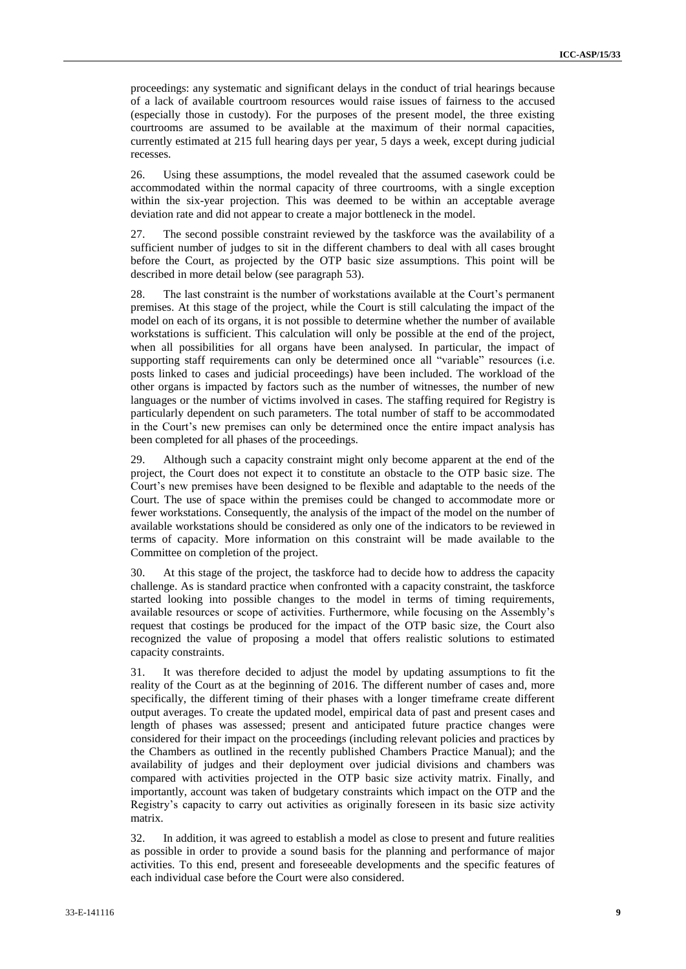proceedings: any systematic and significant delays in the conduct of trial hearings because of a lack of available courtroom resources would raise issues of fairness to the accused (especially those in custody). For the purposes of the present model, the three existing courtrooms are assumed to be available at the maximum of their normal capacities, currently estimated at 215 full hearing days per year, 5 days a week, except during judicial recesses.

26. Using these assumptions, the model revealed that the assumed casework could be accommodated within the normal capacity of three courtrooms, with a single exception within the six-year projection. This was deemed to be within an acceptable average deviation rate and did not appear to create a major bottleneck in the model.

27. The second possible constraint reviewed by the taskforce was the availability of a sufficient number of judges to sit in the different chambers to deal with all cases brought before the Court, as projected by the OTP basic size assumptions. This point will be described in more detail below (see paragraph [53\)](#page-13-0).

28. The last constraint is the number of workstations available at the Court's permanent premises. At this stage of the project, while the Court is still calculating the impact of the model on each of its organs, it is not possible to determine whether the number of available workstations is sufficient. This calculation will only be possible at the end of the project, when all possibilities for all organs have been analysed. In particular, the impact of supporting staff requirements can only be determined once all "variable" resources (i.e. posts linked to cases and judicial proceedings) have been included. The workload of the other organs is impacted by factors such as the number of witnesses, the number of new languages or the number of victims involved in cases. The staffing required for Registry is particularly dependent on such parameters. The total number of staff to be accommodated in the Court's new premises can only be determined once the entire impact analysis has been completed for all phases of the proceedings.

29. Although such a capacity constraint might only become apparent at the end of the project, the Court does not expect it to constitute an obstacle to the OTP basic size. The Court's new premises have been designed to be flexible and adaptable to the needs of the Court. The use of space within the premises could be changed to accommodate more or fewer workstations. Consequently, the analysis of the impact of the model on the number of available workstations should be considered as only one of the indicators to be reviewed in terms of capacity. More information on this constraint will be made available to the Committee on completion of the project.

30. At this stage of the project, the taskforce had to decide how to address the capacity challenge. As is standard practice when confronted with a capacity constraint, the taskforce started looking into possible changes to the model in terms of timing requirements, available resources or scope of activities. Furthermore, while focusing on the Assembly's request that costings be produced for the impact of the OTP basic size, the Court also recognized the value of proposing a model that offers realistic solutions to estimated capacity constraints.

31. It was therefore decided to adjust the model by updating assumptions to fit the reality of the Court as at the beginning of 2016. The different number of cases and, more specifically, the different timing of their phases with a longer timeframe create different output averages. To create the updated model, empirical data of past and present cases and length of phases was assessed; present and anticipated future practice changes were considered for their impact on the proceedings (including relevant policies and practices by the Chambers as outlined in the recently published Chambers Practice Manual); and the availability of judges and their deployment over judicial divisions and chambers was compared with activities projected in the OTP basic size activity matrix. Finally, and importantly, account was taken of budgetary constraints which impact on the OTP and the Registry's capacity to carry out activities as originally foreseen in its basic size activity matrix.

32. In addition, it was agreed to establish a model as close to present and future realities as possible in order to provide a sound basis for the planning and performance of major activities. To this end, present and foreseeable developments and the specific features of each individual case before the Court were also considered.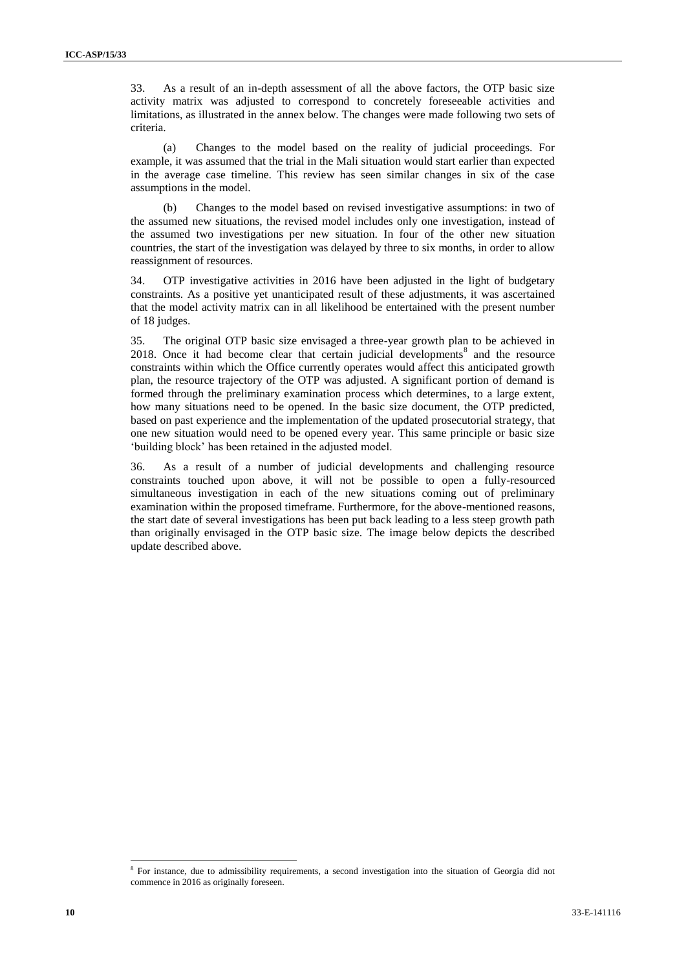33. As a result of an in-depth assessment of all the above factors, the OTP basic size activity matrix was adjusted to correspond to concretely foreseeable activities and limitations, as illustrated in the annex below. The changes were made following two sets of criteria.

(a) Changes to the model based on the reality of judicial proceedings. For example, it was assumed that the trial in the Mali situation would start earlier than expected in the average case timeline. This review has seen similar changes in six of the case assumptions in the model.

(b) Changes to the model based on revised investigative assumptions: in two of the assumed new situations, the revised model includes only one investigation, instead of the assumed two investigations per new situation. In four of the other new situation countries, the start of the investigation was delayed by three to six months, in order to allow reassignment of resources.

34. OTP investigative activities in 2016 have been adjusted in the light of budgetary constraints. As a positive yet unanticipated result of these adjustments, it was ascertained that the model activity matrix can in all likelihood be entertained with the present number of 18 judges.

35. The original OTP basic size envisaged a three-year growth plan to be achieved in  $2018$ . Once it had become clear that certain judicial developments<sup>8</sup> and the resource constraints within which the Office currently operates would affect this anticipated growth plan, the resource trajectory of the OTP was adjusted. A significant portion of demand is formed through the preliminary examination process which determines, to a large extent, how many situations need to be opened. In the basic size document, the OTP predicted, based on past experience and the implementation of the updated prosecutorial strategy, that one new situation would need to be opened every year. This same principle or basic size 'building block' has been retained in the adjusted model.

36. As a result of a number of judicial developments and challenging resource constraints touched upon above, it will not be possible to open a fully-resourced simultaneous investigation in each of the new situations coming out of preliminary examination within the proposed timeframe. Furthermore, for the above-mentioned reasons, the start date of several investigations has been put back leading to a less steep growth path than originally envisaged in the OTP basic size. The image below depicts the described update described above.

<sup>&</sup>lt;sup>8</sup> For instance, due to admissibility requirements, a second investigation into the situation of Georgia did not commence in 2016 as originally foreseen.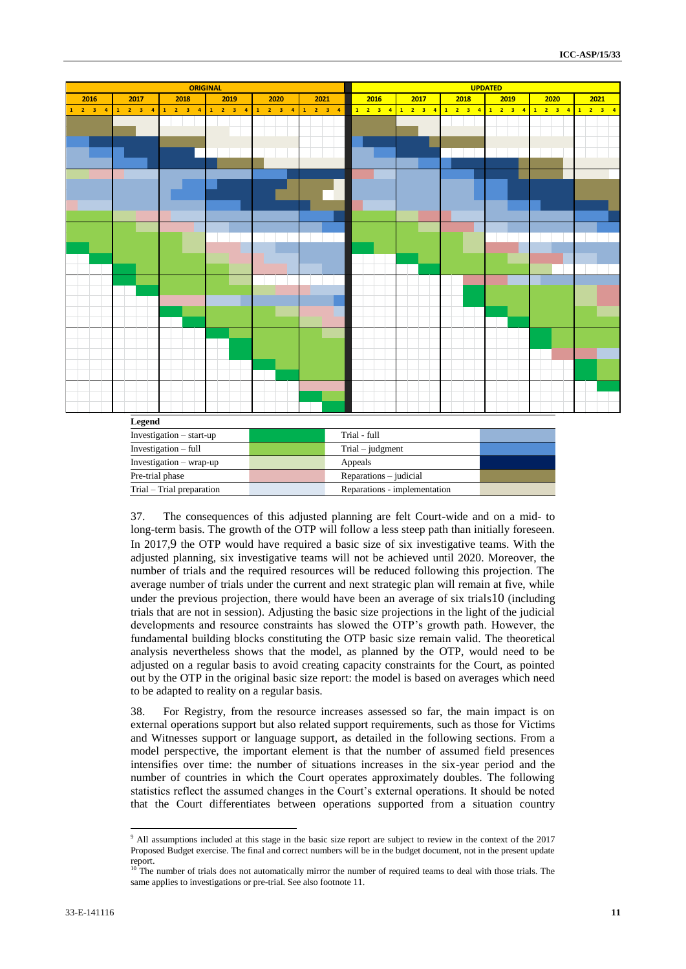

37. The consequences of this adjusted planning are felt Court-wide and on a mid- to long-term basis. The growth of the OTP will follow a less steep path than initially foreseen. In 2017,9 the OTP would have required a basic size of six investigative teams. With the adjusted planning, six investigative teams will not be achieved until 2020. Moreover, the number of trials and the required resources will be reduced following this projection. The average number of trials under the current and next strategic plan will remain at five, while under the previous projection, there would have been an average of six trials10 (including trials that are not in session). Adjusting the basic size projections in the light of the judicial developments and resource constraints has slowed the OTP's growth path. However, the fundamental building blocks constituting the OTP basic size remain valid. The theoretical analysis nevertheless shows that the model, as planned by the OTP, would need to be adjusted on a regular basis to avoid creating capacity constraints for the Court, as pointed out by the OTP in the original basic size report: the model is based on averages which need to be adapted to reality on a regular basis.

Trial – Trial preparation Reparations - implementation

38. For Registry, from the resource increases assessed so far, the main impact is on external operations support but also related support requirements, such as those for Victims and Witnesses support or language support, as detailed in the following sections. From a model perspective, the important element is that the number of assumed field presences intensifies over time: the number of situations increases in the six-year period and the number of countries in which the Court operates approximately doubles. The following statistics reflect the assumed changes in the Court's external operations. It should be noted that the Court differentiates between operations supported from a situation country

<sup>&</sup>lt;sup>9</sup> All assumptions included at this stage in the basic size report are subject to review in the context of the 2017 Proposed Budget exercise. The final and correct numbers will be in the budget document, not in the present update report.

The number of trials does not automatically mirror the number of required teams to deal with those trials. The same applies to investigations or pre-trial. See also footnote 11.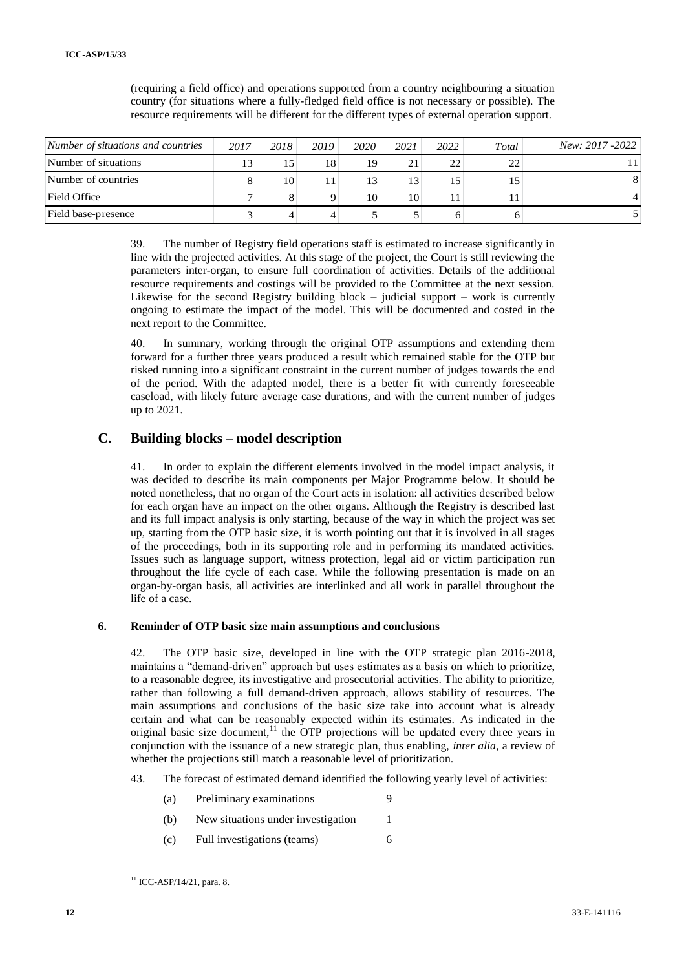| Number of situations and countries | 2017 | 2018 | 2019 | 2020 | 2021 | 2022 | Total | New: 2017 -2022 |
|------------------------------------|------|------|------|------|------|------|-------|-----------------|
| Number of situations               | 13   | 15   | 18   | 19   | 21   | 22   |       |                 |
| Number of countries                |      | 10   |      | 13   | 13   | 15   |       |                 |
| Field Office                       |      |      |      | 10   | 10   |      |       |                 |
| Field base-presence                |      |      |      |      |      | 6    |       |                 |

(requiring a field office) and operations supported from a country neighbouring a situation country (for situations where a fully-fledged field office is not necessary or possible). The resource requirements will be different for the different types of external operation support.

39. The number of Registry field operations staff is estimated to increase significantly in line with the projected activities. At this stage of the project, the Court is still reviewing the parameters inter-organ, to ensure full coordination of activities. Details of the additional resource requirements and costings will be provided to the Committee at the next session. Likewise for the second Registry building block  $-$  judicial support  $-$  work is currently ongoing to estimate the impact of the model. This will be documented and costed in the next report to the Committee.

40. In summary, working through the original OTP assumptions and extending them forward for a further three years produced a result which remained stable for the OTP but risked running into a significant constraint in the current number of judges towards the end of the period. With the adapted model, there is a better fit with currently foreseeable caseload, with likely future average case durations, and with the current number of judges up to 2021.

## **C. Building blocks – model description**

41. In order to explain the different elements involved in the model impact analysis, it was decided to describe its main components per Major Programme below. It should be noted nonetheless, that no organ of the Court acts in isolation: all activities described below for each organ have an impact on the other organs. Although the Registry is described last and its full impact analysis is only starting, because of the way in which the project was set up, starting from the OTP basic size, it is worth pointing out that it is involved in all stages of the proceedings, both in its supporting role and in performing its mandated activities. Issues such as language support, witness protection, legal aid or victim participation run throughout the life cycle of each case. While the following presentation is made on an organ-by-organ basis, all activities are interlinked and all work in parallel throughout the life of a case.

#### **6. Reminder of OTP basic size main assumptions and conclusions**

42. The OTP basic size, developed in line with the OTP strategic plan 2016-2018, maintains a "demand-driven" approach but uses estimates as a basis on which to prioritize, to a reasonable degree, its investigative and prosecutorial activities. The ability to prioritize, rather than following a full demand-driven approach, allows stability of resources. The main assumptions and conclusions of the basic size take into account what is already certain and what can be reasonably expected within its estimates. As indicated in the original basic size document,<sup>11</sup> the OTP projections will be updated every three years in conjunction with the issuance of a new strategic plan, thus enabling, *inter alia*, a review of whether the projections still match a reasonable level of prioritization.

- 43. The forecast of estimated demand identified the following yearly level of activities:
	- (a) Preliminary examinations 9
	- (b) New situations under investigation 1
	- (c) Full investigations (teams) 6

<sup>1</sup>  $11$  ICC-ASP/14/21, para. 8.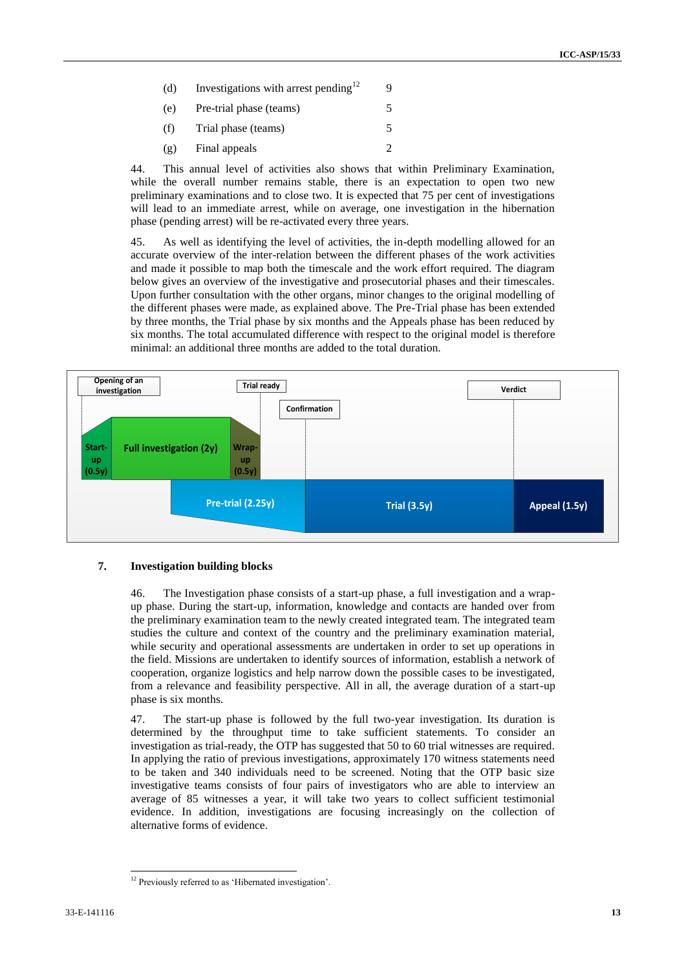- (d) Investigations with arrest pending<sup>12</sup> 9
- (e) Pre-trial phase (teams) 5
- (f) Trial phase (teams) 5
- $(g)$  Final appeals 2

44. This annual level of activities also shows that within Preliminary Examination, while the overall number remains stable, there is an expectation to open two new preliminary examinations and to close two. It is expected that 75 per cent of investigations will lead to an immediate arrest, while on average, one investigation in the hibernation phase (pending arrest) will be re-activated every three years.

45. As well as identifying the level of activities, the in-depth modelling allowed for an accurate overview of the inter-relation between the different phases of the work activities and made it possible to map both the timescale and the work effort required. The diagram below gives an overview of the investigative and prosecutorial phases and their timescales. Upon further consultation with the other organs, minor changes to the original modelling of the different phases were made, as explained above. The Pre-Trial phase has been extended by three months, the Trial phase by six months and the Appeals phase has been reduced by six months. The total accumulated difference with respect to the original model is therefore minimal: an additional three months are added to the total duration.



#### **7. Investigation building blocks**

46. The Investigation phase consists of a start-up phase, a full investigation and a wrapup phase. During the start-up, information, knowledge and contacts are handed over from the preliminary examination team to the newly created integrated team. The integrated team studies the culture and context of the country and the preliminary examination material, while security and operational assessments are undertaken in order to set up operations in the field. Missions are undertaken to identify sources of information, establish a network of cooperation, organize logistics and help narrow down the possible cases to be investigated, from a relevance and feasibility perspective. All in all, the average duration of a start-up phase is six months.

47. The start-up phase is followed by the full two-year investigation. Its duration is determined by the throughput time to take sufficient statements. To consider an investigation as trial-ready, the OTP has suggested that 50 to 60 trial witnesses are required. In applying the ratio of previous investigations, approximately 170 witness statements need to be taken and 340 individuals need to be screened. Noting that the OTP basic size investigative teams consists of four pairs of investigators who are able to interview an average of 85 witnesses a year, it will take two years to collect sufficient testimonial evidence. In addition, investigations are focusing increasingly on the collection of alternative forms of evidence.

<sup>1</sup> <sup>12</sup> Previously referred to as 'Hibernated investigation'.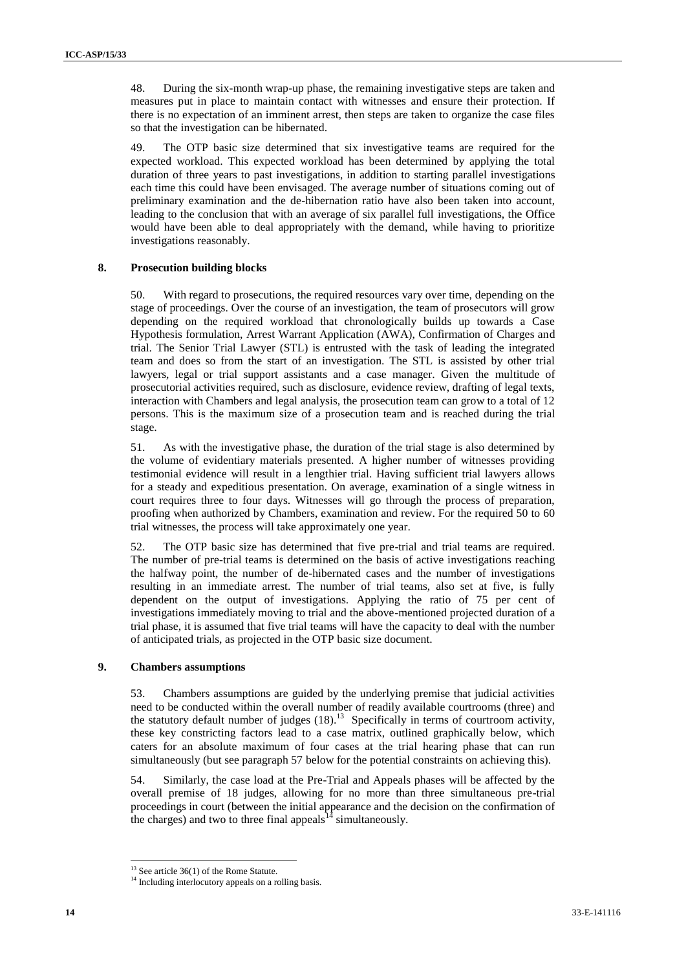48. During the six-month wrap-up phase, the remaining investigative steps are taken and measures put in place to maintain contact with witnesses and ensure their protection. If there is no expectation of an imminent arrest, then steps are taken to organize the case files so that the investigation can be hibernated.

49. The OTP basic size determined that six investigative teams are required for the expected workload. This expected workload has been determined by applying the total duration of three years to past investigations, in addition to starting parallel investigations each time this could have been envisaged. The average number of situations coming out of preliminary examination and the de-hibernation ratio have also been taken into account, leading to the conclusion that with an average of six parallel full investigations, the Office would have been able to deal appropriately with the demand, while having to prioritize investigations reasonably.

#### **8. Prosecution building blocks**

50. With regard to prosecutions, the required resources vary over time, depending on the stage of proceedings. Over the course of an investigation, the team of prosecutors will grow depending on the required workload that chronologically builds up towards a Case Hypothesis formulation, Arrest Warrant Application (AWA), Confirmation of Charges and trial. The Senior Trial Lawyer (STL) is entrusted with the task of leading the integrated team and does so from the start of an investigation. The STL is assisted by other trial lawyers, legal or trial support assistants and a case manager. Given the multitude of prosecutorial activities required, such as disclosure, evidence review, drafting of legal texts, interaction with Chambers and legal analysis, the prosecution team can grow to a total of 12 persons. This is the maximum size of a prosecution team and is reached during the trial stage.

51. As with the investigative phase, the duration of the trial stage is also determined by the volume of evidentiary materials presented. A higher number of witnesses providing testimonial evidence will result in a lengthier trial. Having sufficient trial lawyers allows for a steady and expeditious presentation. On average, examination of a single witness in court requires three to four days. Witnesses will go through the process of preparation, proofing when authorized by Chambers, examination and review. For the required 50 to 60 trial witnesses, the process will take approximately one year.

52. The OTP basic size has determined that five pre-trial and trial teams are required. The number of pre-trial teams is determined on the basis of active investigations reaching the halfway point, the number of de-hibernated cases and the number of investigations resulting in an immediate arrest. The number of trial teams, also set at five, is fully dependent on the output of investigations. Applying the ratio of 75 per cent of investigations immediately moving to trial and the above-mentioned projected duration of a trial phase, it is assumed that five trial teams will have the capacity to deal with the number of anticipated trials, as projected in the OTP basic size document.

#### **9. Chambers assumptions**

<span id="page-13-0"></span>53. Chambers assumptions are guided by the underlying premise that judicial activities need to be conducted within the overall number of readily available courtrooms (three) and the statutory default number of judges  $(18)$ .<sup>13</sup> Specifically in terms of courtroom activity, these key constricting factors lead to a case matrix, outlined graphically below, which caters for an absolute maximum of four cases at the trial hearing phase that can run simultaneously (but see paragraph 57 below for the potential constraints on achieving this).

54. Similarly, the case load at the Pre-Trial and Appeals phases will be affected by the overall premise of 18 judges, allowing for no more than three simultaneous pre-trial proceedings in court (between the initial appearance and the decision on the confirmation of the charges) and two to three final appeals<sup>14</sup> simultaneously.

 $13$  See article 36(1) of the Rome Statute.

<sup>&</sup>lt;sup>14</sup> Including interlocutory appeals on a rolling basis.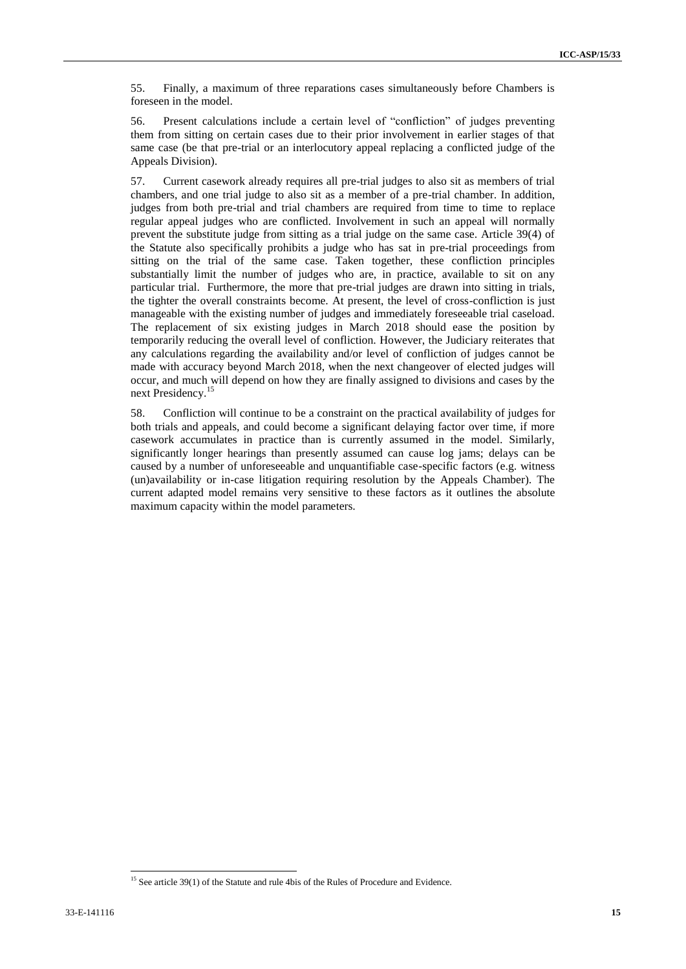55. Finally, a maximum of three reparations cases simultaneously before Chambers is foreseen in the model.

56. Present calculations include a certain level of "confliction" of judges preventing them from sitting on certain cases due to their prior involvement in earlier stages of that same case (be that pre-trial or an interlocutory appeal replacing a conflicted judge of the Appeals Division).

57. Current casework already requires all pre-trial judges to also sit as members of trial chambers, and one trial judge to also sit as a member of a pre-trial chamber. In addition, judges from both pre-trial and trial chambers are required from time to time to replace regular appeal judges who are conflicted. Involvement in such an appeal will normally prevent the substitute judge from sitting as a trial judge on the same case. Article 39(4) of the Statute also specifically prohibits a judge who has sat in pre-trial proceedings from sitting on the trial of the same case. Taken together, these confliction principles substantially limit the number of judges who are, in practice, available to sit on any particular trial. Furthermore, the more that pre-trial judges are drawn into sitting in trials, the tighter the overall constraints become. At present, the level of cross-confliction is just manageable with the existing number of judges and immediately foreseeable trial caseload. The replacement of six existing judges in March 2018 should ease the position by temporarily reducing the overall level of confliction. However, the Judiciary reiterates that any calculations regarding the availability and/or level of confliction of judges cannot be made with accuracy beyond March 2018, when the next changeover of elected judges will occur, and much will depend on how they are finally assigned to divisions and cases by the next Presidency.<sup>15</sup>

58. Confliction will continue to be a constraint on the practical availability of judges for both trials and appeals, and could become a significant delaying factor over time, if more casework accumulates in practice than is currently assumed in the model. Similarly, significantly longer hearings than presently assumed can cause log jams; delays can be caused by a number of unforeseeable and unquantifiable case-specific factors (e.g. witness (un)availability or in-case litigation requiring resolution by the Appeals Chamber). The current adapted model remains very sensitive to these factors as it outlines the absolute maximum capacity within the model parameters.

<sup>&</sup>lt;sup>15</sup> See article 39(1) of the Statute and rule 4bis of the Rules of Procedure and Evidence.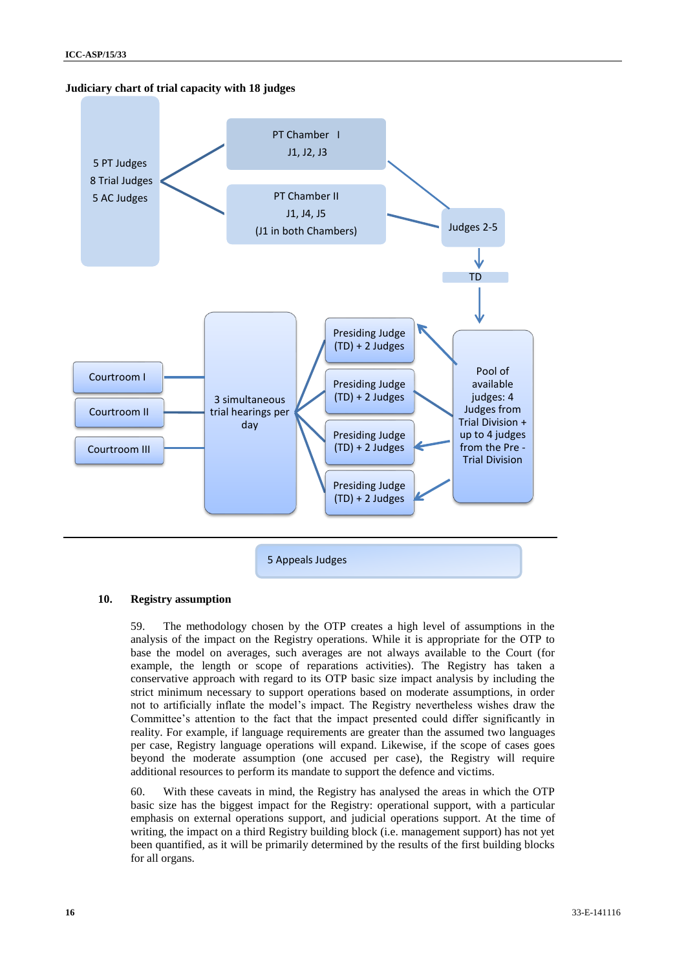



#### **10. Registry assumption**

59. The methodology chosen by the OTP creates a high level of assumptions in the analysis of the impact on the Registry operations. While it is appropriate for the OTP to base the model on averages, such averages are not always available to the Court (for example, the length or scope of reparations activities). The Registry has taken a conservative approach with regard to its OTP basic size impact analysis by including the strict minimum necessary to support operations based on moderate assumptions, in order not to artificially inflate the model's impact. The Registry nevertheless wishes draw the Committee's attention to the fact that the impact presented could differ significantly in reality. For example, if language requirements are greater than the assumed two languages per case, Registry language operations will expand. Likewise, if the scope of cases goes beyond the moderate assumption (one accused per case), the Registry will require additional resources to perform its mandate to support the defence and victims.

60. With these caveats in mind, the Registry has analysed the areas in which the OTP basic size has the biggest impact for the Registry: operational support, with a particular emphasis on external operations support, and judicial operations support. At the time of writing, the impact on a third Registry building block (i.e. management support) has not yet been quantified, as it will be primarily determined by the results of the first building blocks for all organs.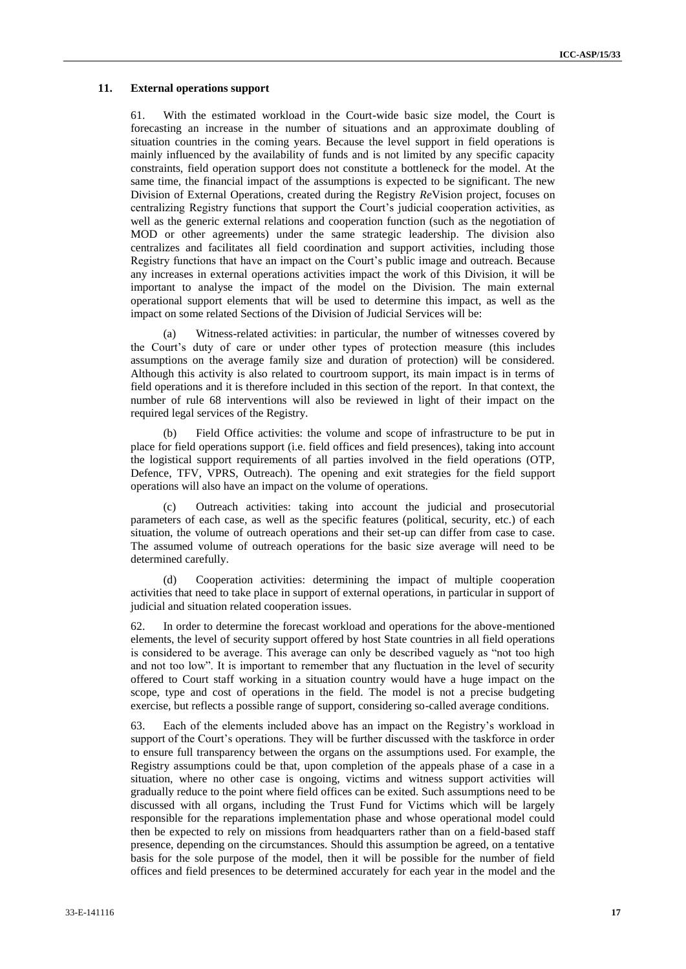#### **11. External operations support**

61. With the estimated workload in the Court-wide basic size model, the Court is forecasting an increase in the number of situations and an approximate doubling of situation countries in the coming years. Because the level support in field operations is mainly influenced by the availability of funds and is not limited by any specific capacity constraints, field operation support does not constitute a bottleneck for the model. At the same time, the financial impact of the assumptions is expected to be significant. The new Division of External Operations, created during the Registry *Re*Vision project, focuses on centralizing Registry functions that support the Court's judicial cooperation activities, as well as the generic external relations and cooperation function (such as the negotiation of MOD or other agreements) under the same strategic leadership. The division also centralizes and facilitates all field coordination and support activities, including those Registry functions that have an impact on the Court's public image and outreach. Because any increases in external operations activities impact the work of this Division, it will be important to analyse the impact of the model on the Division. The main external operational support elements that will be used to determine this impact, as well as the impact on some related Sections of the Division of Judicial Services will be:

(a) Witness-related activities: in particular, the number of witnesses covered by the Court's duty of care or under other types of protection measure (this includes assumptions on the average family size and duration of protection) will be considered. Although this activity is also related to courtroom support, its main impact is in terms of field operations and it is therefore included in this section of the report. In that context, the number of rule 68 interventions will also be reviewed in light of their impact on the required legal services of the Registry.

(b) Field Office activities: the volume and scope of infrastructure to be put in place for field operations support (i.e. field offices and field presences), taking into account the logistical support requirements of all parties involved in the field operations (OTP, Defence, TFV, VPRS, Outreach). The opening and exit strategies for the field support operations will also have an impact on the volume of operations.

(c) Outreach activities: taking into account the judicial and prosecutorial parameters of each case, as well as the specific features (political, security, etc.) of each situation, the volume of outreach operations and their set-up can differ from case to case. The assumed volume of outreach operations for the basic size average will need to be determined carefully.

(d) Cooperation activities: determining the impact of multiple cooperation activities that need to take place in support of external operations, in particular in support of judicial and situation related cooperation issues.

62. In order to determine the forecast workload and operations for the above-mentioned elements, the level of security support offered by host State countries in all field operations is considered to be average. This average can only be described vaguely as "not too high and not too low". It is important to remember that any fluctuation in the level of security offered to Court staff working in a situation country would have a huge impact on the scope, type and cost of operations in the field. The model is not a precise budgeting exercise, but reflects a possible range of support, considering so-called average conditions.

63. Each of the elements included above has an impact on the Registry's workload in support of the Court's operations. They will be further discussed with the taskforce in order to ensure full transparency between the organs on the assumptions used. For example, the Registry assumptions could be that, upon completion of the appeals phase of a case in a situation, where no other case is ongoing, victims and witness support activities will gradually reduce to the point where field offices can be exited. Such assumptions need to be discussed with all organs, including the Trust Fund for Victims which will be largely responsible for the reparations implementation phase and whose operational model could then be expected to rely on missions from headquarters rather than on a field-based staff presence, depending on the circumstances. Should this assumption be agreed, on a tentative basis for the sole purpose of the model, then it will be possible for the number of field offices and field presences to be determined accurately for each year in the model and the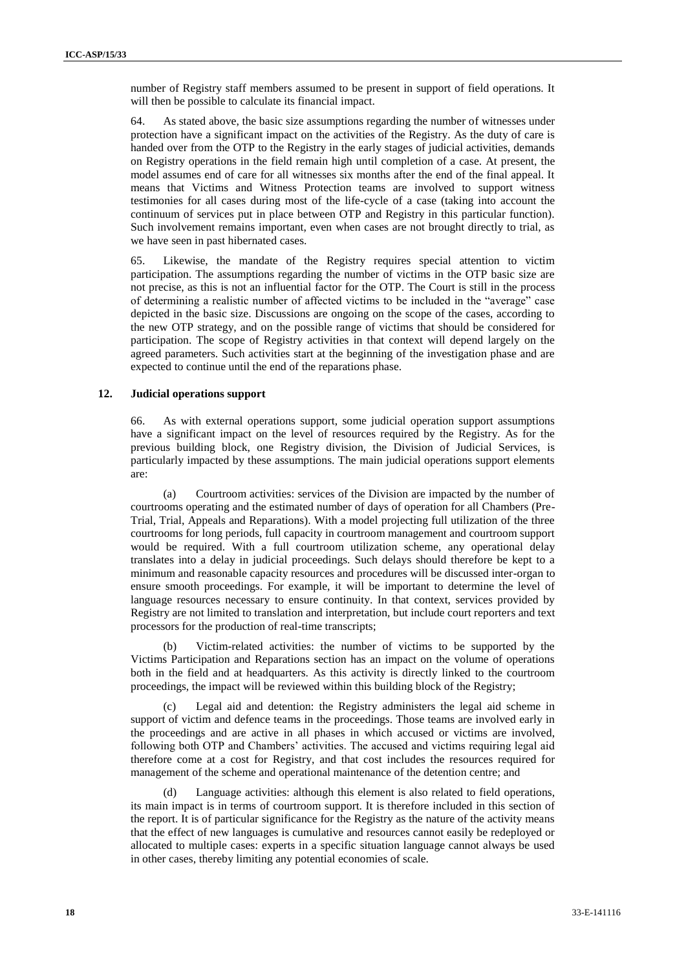number of Registry staff members assumed to be present in support of field operations. It will then be possible to calculate its financial impact.

64. As stated above, the basic size assumptions regarding the number of witnesses under protection have a significant impact on the activities of the Registry. As the duty of care is handed over from the OTP to the Registry in the early stages of judicial activities, demands on Registry operations in the field remain high until completion of a case. At present, the model assumes end of care for all witnesses six months after the end of the final appeal. It means that Victims and Witness Protection teams are involved to support witness testimonies for all cases during most of the life-cycle of a case (taking into account the continuum of services put in place between OTP and Registry in this particular function). Such involvement remains important, even when cases are not brought directly to trial, as we have seen in past hibernated cases.

65. Likewise, the mandate of the Registry requires special attention to victim participation. The assumptions regarding the number of victims in the OTP basic size are not precise, as this is not an influential factor for the OTP. The Court is still in the process of determining a realistic number of affected victims to be included in the "average" case depicted in the basic size. Discussions are ongoing on the scope of the cases, according to the new OTP strategy, and on the possible range of victims that should be considered for participation. The scope of Registry activities in that context will depend largely on the agreed parameters. Such activities start at the beginning of the investigation phase and are expected to continue until the end of the reparations phase.

#### **12. Judicial operations support**

66. As with external operations support, some judicial operation support assumptions have a significant impact on the level of resources required by the Registry. As for the previous building block, one Registry division, the Division of Judicial Services, is particularly impacted by these assumptions. The main judicial operations support elements are:

(a) Courtroom activities: services of the Division are impacted by the number of courtrooms operating and the estimated number of days of operation for all Chambers (Pre-Trial, Trial, Appeals and Reparations). With a model projecting full utilization of the three courtrooms for long periods, full capacity in courtroom management and courtroom support would be required. With a full courtroom utilization scheme, any operational delay translates into a delay in judicial proceedings. Such delays should therefore be kept to a minimum and reasonable capacity resources and procedures will be discussed inter-organ to ensure smooth proceedings. For example, it will be important to determine the level of language resources necessary to ensure continuity. In that context, services provided by Registry are not limited to translation and interpretation, but include court reporters and text processors for the production of real-time transcripts;

(b) Victim-related activities: the number of victims to be supported by the Victims Participation and Reparations section has an impact on the volume of operations both in the field and at headquarters. As this activity is directly linked to the courtroom proceedings, the impact will be reviewed within this building block of the Registry;

(c) Legal aid and detention: the Registry administers the legal aid scheme in support of victim and defence teams in the proceedings. Those teams are involved early in the proceedings and are active in all phases in which accused or victims are involved, following both OTP and Chambers' activities. The accused and victims requiring legal aid therefore come at a cost for Registry, and that cost includes the resources required for management of the scheme and operational maintenance of the detention centre; and

Language activities: although this element is also related to field operations, its main impact is in terms of courtroom support. It is therefore included in this section of the report. It is of particular significance for the Registry as the nature of the activity means that the effect of new languages is cumulative and resources cannot easily be redeployed or allocated to multiple cases: experts in a specific situation language cannot always be used in other cases, thereby limiting any potential economies of scale.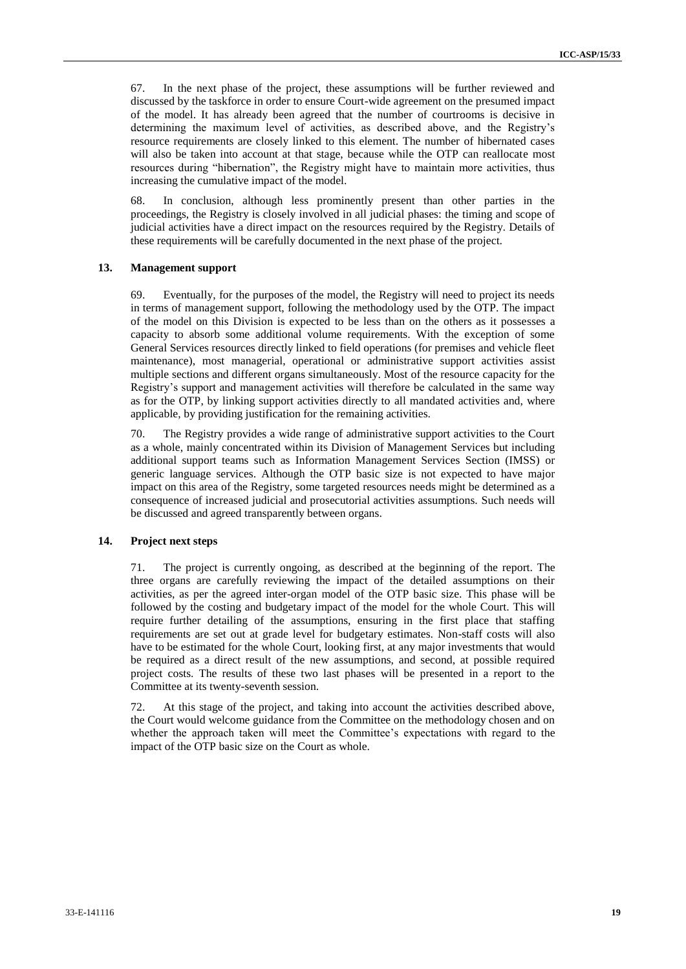67. In the next phase of the project, these assumptions will be further reviewed and discussed by the taskforce in order to ensure Court-wide agreement on the presumed impact of the model. It has already been agreed that the number of courtrooms is decisive in determining the maximum level of activities, as described above, and the Registry's resource requirements are closely linked to this element. The number of hibernated cases will also be taken into account at that stage, because while the OTP can reallocate most resources during "hibernation", the Registry might have to maintain more activities, thus increasing the cumulative impact of the model.

68. In conclusion, although less prominently present than other parties in the proceedings, the Registry is closely involved in all judicial phases: the timing and scope of judicial activities have a direct impact on the resources required by the Registry. Details of these requirements will be carefully documented in the next phase of the project.

#### **13. Management support**

69. Eventually, for the purposes of the model, the Registry will need to project its needs in terms of management support, following the methodology used by the OTP. The impact of the model on this Division is expected to be less than on the others as it possesses a capacity to absorb some additional volume requirements. With the exception of some General Services resources directly linked to field operations (for premises and vehicle fleet maintenance), most managerial, operational or administrative support activities assist multiple sections and different organs simultaneously. Most of the resource capacity for the Registry's support and management activities will therefore be calculated in the same way as for the OTP, by linking support activities directly to all mandated activities and, where applicable, by providing justification for the remaining activities.

70. The Registry provides a wide range of administrative support activities to the Court as a whole, mainly concentrated within its Division of Management Services but including additional support teams such as Information Management Services Section (IMSS) or generic language services. Although the OTP basic size is not expected to have major impact on this area of the Registry, some targeted resources needs might be determined as a consequence of increased judicial and prosecutorial activities assumptions. Such needs will be discussed and agreed transparently between organs.

#### **14. Project next steps**

71. The project is currently ongoing, as described at the beginning of the report. The three organs are carefully reviewing the impact of the detailed assumptions on their activities, as per the agreed inter-organ model of the OTP basic size. This phase will be followed by the costing and budgetary impact of the model for the whole Court. This will require further detailing of the assumptions, ensuring in the first place that staffing requirements are set out at grade level for budgetary estimates. Non-staff costs will also have to be estimated for the whole Court, looking first, at any major investments that would be required as a direct result of the new assumptions, and second, at possible required project costs. The results of these two last phases will be presented in a report to the Committee at its twenty-seventh session.

72. At this stage of the project, and taking into account the activities described above, the Court would welcome guidance from the Committee on the methodology chosen and on whether the approach taken will meet the Committee's expectations with regard to the impact of the OTP basic size on the Court as whole.